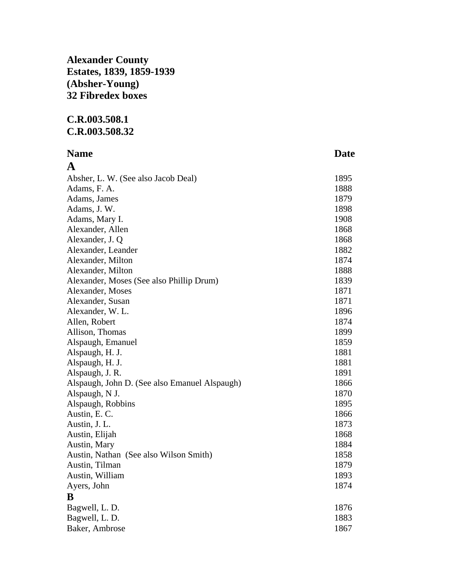## **Alexander County Estates, 1839, 1859-1939 (Absher-Young) 32 Fibredex boxes**

## **C.R.003.508.1 C.R.003.508.32**

## **Name** Date **Date A**

| Absher, L. W. (See also Jacob Deal)           | 1895 |
|-----------------------------------------------|------|
| Adams, F. A.                                  | 1888 |
| Adams, James                                  | 1879 |
| Adams, J. W.                                  | 1898 |
| Adams, Mary I.                                | 1908 |
| Alexander, Allen                              | 1868 |
| Alexander, J. Q.                              | 1868 |
| Alexander, Leander                            | 1882 |
| Alexander, Milton                             | 1874 |
| Alexander, Milton                             | 1888 |
| Alexander, Moses (See also Phillip Drum)      | 1839 |
| Alexander, Moses                              | 1871 |
| Alexander, Susan                              | 1871 |
| Alexander, W.L.                               | 1896 |
| Allen, Robert                                 | 1874 |
| Allison, Thomas                               | 1899 |
| Alspaugh, Emanuel                             | 1859 |
| Alspaugh, H. J.                               | 1881 |
| Alspaugh, H. J.                               | 1881 |
| Alspaugh, J. R.                               | 1891 |
| Alspaugh, John D. (See also Emanuel Alspaugh) | 1866 |
| Alspaugh, N J.                                | 1870 |
| Alspaugh, Robbins                             | 1895 |
| Austin, E. C.                                 | 1866 |
| Austin, J. L.                                 | 1873 |
| Austin, Elijah                                | 1868 |
| Austin, Mary                                  | 1884 |
| Austin, Nathan (See also Wilson Smith)        | 1858 |
| Austin, Tilman                                | 1879 |
| Austin, William                               | 1893 |
| Ayers, John                                   | 1874 |
| B                                             |      |
| Bagwell, L. D.                                | 1876 |
| Bagwell, L. D.                                | 1883 |
| Baker, Ambrose                                | 1867 |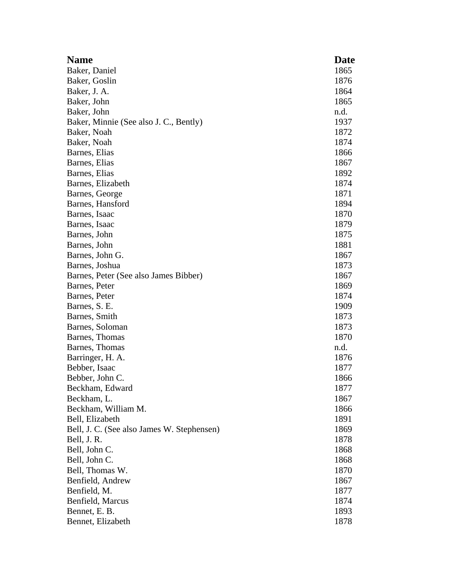| <b>Name</b>                                | Date |
|--------------------------------------------|------|
| Baker, Daniel                              | 1865 |
| Baker, Goslin                              | 1876 |
| Baker, J. A.                               | 1864 |
| Baker, John                                | 1865 |
| Baker, John                                | n.d. |
| Baker, Minnie (See also J. C., Bently)     | 1937 |
| Baker, Noah                                | 1872 |
| Baker, Noah                                | 1874 |
| Barnes, Elias                              | 1866 |
| Barnes, Elias                              | 1867 |
| Barnes, Elias                              | 1892 |
| Barnes, Elizabeth                          | 1874 |
| Barnes, George                             | 1871 |
| Barnes, Hansford                           | 1894 |
| Barnes, Isaac                              | 1870 |
| Barnes, Isaac                              | 1879 |
| Barnes, John                               | 1875 |
| Barnes, John                               | 1881 |
| Barnes, John G.                            | 1867 |
| Barnes, Joshua                             | 1873 |
| Barnes, Peter (See also James Bibber)      | 1867 |
| Barnes, Peter                              | 1869 |
| Barnes, Peter                              | 1874 |
| Barnes, S. E.                              | 1909 |
| Barnes, Smith                              | 1873 |
| Barnes, Soloman                            | 1873 |
| Barnes, Thomas                             | 1870 |
| Barnes, Thomas                             | n.d. |
| Barringer, H. A.                           | 1876 |
| Bebber, Isaac                              | 1877 |
| Bebber, John C.                            | 1866 |
| Beckham, Edward                            | 1877 |
| Beckham, L.                                | 1867 |
| Beckham, William M.                        | 1866 |
| Bell, Elizabeth                            | 1891 |
| Bell, J. C. (See also James W. Stephensen) | 1869 |
| Bell, J. R.                                | 1878 |
| Bell, John C.                              | 1868 |
| Bell, John C.                              | 1868 |
| Bell, Thomas W.                            | 1870 |
| Benfield, Andrew                           | 1867 |
| Benfield, M.                               | 1877 |
| Benfield, Marcus                           | 1874 |
| Bennet, E. B.                              | 1893 |
| Bennet, Elizabeth                          | 1878 |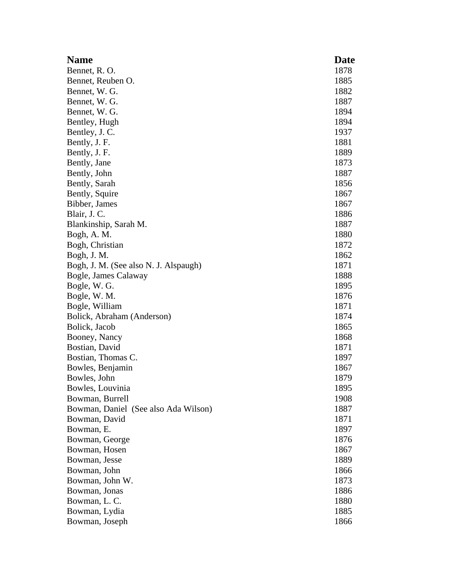| <b>Name</b>                           | <b>Date</b> |
|---------------------------------------|-------------|
| Bennet, R.O.                          | 1878        |
| Bennet, Reuben O.                     | 1885        |
| Bennet, W. G.                         | 1882        |
| Bennet, W. G.                         | 1887        |
| Bennet, W. G.                         | 1894        |
| Bentley, Hugh                         | 1894        |
| Bentley, J. C.                        | 1937        |
| Bently, J. F.                         | 1881        |
| Bently, J. F.                         | 1889        |
| Bently, Jane                          | 1873        |
| Bently, John                          | 1887        |
| Bently, Sarah                         | 1856        |
| Bently, Squire                        | 1867        |
| Bibber, James                         | 1867        |
| Blair, J. C.                          | 1886        |
| Blankinship, Sarah M.                 | 1887        |
| Bogh, A. M.                           | 1880        |
| Bogh, Christian                       | 1872        |
| Bogh, J. M.                           | 1862        |
| Bogh, J. M. (See also N. J. Alspaugh) | 1871        |
| Bogle, James Calaway                  | 1888        |
| Bogle, W. G.                          | 1895        |
| Bogle, W. M.                          | 1876        |
| Bogle, William                        | 1871        |
| Bolick, Abraham (Anderson)            | 1874        |
| Bolick, Jacob                         | 1865        |
| Booney, Nancy                         | 1868        |
| Bostian, David                        | 1871        |
| Bostian, Thomas C.                    | 1897        |
| Bowles, Benjamin                      | 1867        |
| Bowles, John                          | 1879        |
| Bowles, Louvinia                      | 1895        |
| Bowman, Burrell                       | 1908        |
| Bowman, Daniel (See also Ada Wilson)  | 1887        |
| Bowman, David                         | 1871        |
| Bowman, E.                            | 1897        |
| Bowman, George                        | 1876        |
| Bowman, Hosen                         | 1867        |
| Bowman, Jesse                         | 1889        |
| Bowman, John                          | 1866        |
| Bowman, John W.                       | 1873        |
| Bowman, Jonas                         | 1886        |
| Bowman, L. C.                         | 1880        |
| Bowman, Lydia                         | 1885        |
| Bowman, Joseph                        | 1866        |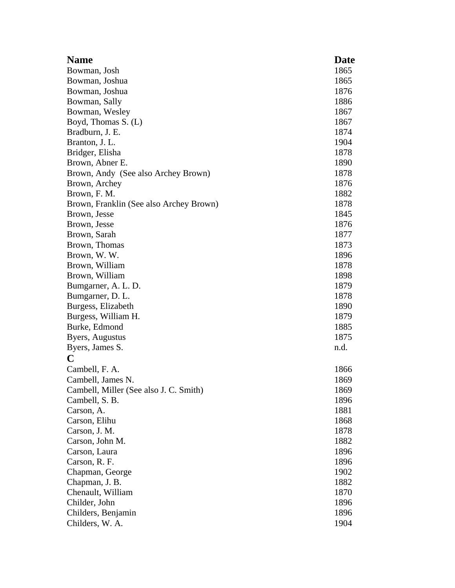| <b>Name</b>                             | Date |
|-----------------------------------------|------|
| Bowman, Josh                            | 1865 |
| Bowman, Joshua                          | 1865 |
| Bowman, Joshua                          | 1876 |
| Bowman, Sally                           | 1886 |
| Bowman, Wesley                          | 1867 |
| Boyd, Thomas S. (L)                     | 1867 |
| Bradburn, J. E.                         | 1874 |
| Branton, J. L.                          | 1904 |
| Bridger, Elisha                         | 1878 |
| Brown, Abner E.                         | 1890 |
| Brown, Andy (See also Archey Brown)     | 1878 |
| Brown, Archey                           | 1876 |
| Brown, F. M.                            | 1882 |
| Brown, Franklin (See also Archey Brown) | 1878 |
| Brown, Jesse                            | 1845 |
| Brown, Jesse                            | 1876 |
| Brown, Sarah                            | 1877 |
| Brown, Thomas                           | 1873 |
| Brown, W.W.                             | 1896 |
| Brown, William                          | 1878 |
| Brown, William                          | 1898 |
| Bumgarner, A. L. D.                     | 1879 |
| Bumgarner, D. L.                        | 1878 |
| Burgess, Elizabeth                      | 1890 |
| Burgess, William H.                     | 1879 |
| Burke, Edmond                           | 1885 |
| Byers, Augustus                         | 1875 |
| Byers, James S.                         | n.d. |
| C                                       |      |
| Cambell, F. A.                          | 1866 |
| Cambell, James N.                       | 1869 |
| Cambell, Miller (See also J. C. Smith)  | 1869 |
| Cambell, S. B.                          | 1896 |
| Carson, A.                              | 1881 |
| Carson, Elihu                           | 1868 |
| Carson, J. M.                           | 1878 |
| Carson, John M.                         | 1882 |
| Carson, Laura                           | 1896 |
| Carson, R. F.                           | 1896 |
| Chapman, George                         | 1902 |
| Chapman, J. B.                          | 1882 |
| Chenault, William                       | 1870 |
| Childer, John                           | 1896 |
| Childers, Benjamin                      | 1896 |
| Childers, W. A.                         | 1904 |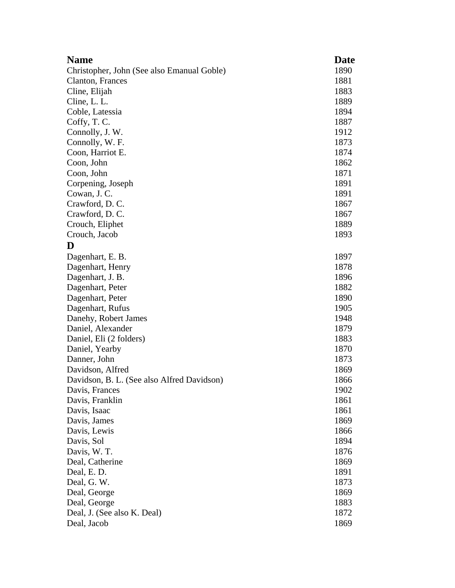| <b>Name</b>                                | <b>Date</b> |
|--------------------------------------------|-------------|
| Christopher, John (See also Emanual Goble) | 1890        |
| Clanton, Frances                           | 1881        |
| Cline, Elijah                              | 1883        |
| Cline, L. L.                               | 1889        |
| Coble, Latessia                            | 1894        |
| Coffy, T. C.                               | 1887        |
| Connolly, J. W.                            | 1912        |
| Connolly, W. F.                            | 1873        |
| Coon, Harriot E.                           | 1874        |
| Coon, John                                 | 1862        |
| Coon, John                                 | 1871        |
| Corpening, Joseph                          | 1891        |
| Cowan, J. C.                               | 1891        |
| Crawford, D.C.                             | 1867        |
| Crawford, D.C.                             | 1867        |
| Crouch, Eliphet                            | 1889        |
| Crouch, Jacob                              | 1893        |
| D                                          |             |
| Dagenhart, E. B.                           | 1897        |
| Dagenhart, Henry                           | 1878        |
| Dagenhart, J. B.                           | 1896        |
| Dagenhart, Peter                           | 1882        |
| Dagenhart, Peter                           | 1890        |
| Dagenhart, Rufus                           | 1905        |
| Danehy, Robert James                       | 1948        |
| Daniel, Alexander                          | 1879        |
| Daniel, Eli (2 folders)                    | 1883        |
| Daniel, Yearby                             | 1870        |
| Danner, John                               | 1873        |
| Davidson, Alfred                           | 1869        |
| Davidson, B. L. (See also Alfred Davidson) | 1866        |
| Davis, Frances                             | 1902        |
| Davis, Franklin                            | 1861        |
| Davis, Isaac                               | 1861        |
| Davis, James                               | 1869        |
| Davis, Lewis                               | 1866        |
| Davis, Sol                                 | 1894        |
| Davis, W. T.                               | 1876        |
| Deal, Catherine                            | 1869        |
| Deal, E.D.                                 | 1891        |
| Deal, G.W.                                 | 1873        |
| Deal, George                               | 1869        |
| Deal, George                               | 1883        |
| Deal, J. (See also K. Deal)                | 1872        |
| Deal, Jacob                                | 1869        |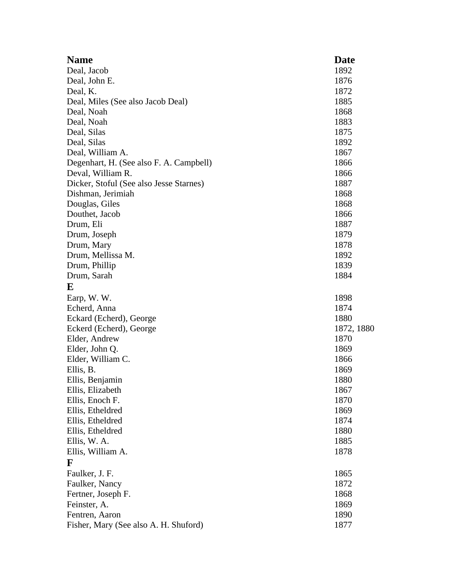| <b>Name</b>                             | Date       |
|-----------------------------------------|------------|
| Deal, Jacob                             | 1892       |
| Deal, John E.                           | 1876       |
| Deal, K.                                | 1872       |
| Deal, Miles (See also Jacob Deal)       | 1885       |
| Deal, Noah                              | 1868       |
| Deal, Noah                              | 1883       |
| Deal, Silas                             | 1875       |
| Deal, Silas                             | 1892       |
| Deal, William A.                        | 1867       |
| Degenhart, H. (See also F. A. Campbell) | 1866       |
| Deval, William R.                       | 1866       |
| Dicker, Stoful (See also Jesse Starnes) | 1887       |
| Dishman, Jerimiah                       | 1868       |
| Douglas, Giles                          | 1868       |
| Douthet, Jacob                          | 1866       |
| Drum, Eli                               | 1887       |
| Drum, Joseph                            | 1879       |
| Drum, Mary                              | 1878       |
| Drum, Mellissa M.                       | 1892       |
| Drum, Phillip                           | 1839       |
| Drum, Sarah                             | 1884       |
| E                                       |            |
|                                         |            |
| Earp, W.W.                              | 1898       |
| Echerd, Anna                            | 1874       |
| Eckard (Echerd), George                 | 1880       |
| Eckerd (Echerd), George                 | 1872, 1880 |
| Elder, Andrew                           | 1870       |
| Elder, John Q.                          | 1869       |
| Elder, William C.                       | 1866       |
| Ellis, B.                               | 1869       |
| Ellis, Benjamin                         | 1880       |
| Ellis, Elizabeth                        | 1867       |
| Ellis, Enoch F.                         | 1870       |
| Ellis, Etheldred                        | 1869       |
| Ellis, Etheldred                        | 1874       |
| Ellis, Etheldred                        | 1880       |
| Ellis, W. A.                            | 1885       |
| Ellis, William A.                       | 1878       |
| F                                       |            |
| Faulker, J. F.                          | 1865       |
| Faulker, Nancy                          | 1872       |
| Fertner, Joseph F.                      | 1868       |
| Feinster, A.                            | 1869       |
| Fentren, Aaron                          | 1890       |
| Fisher, Mary (See also A. H. Shuford)   | 1877       |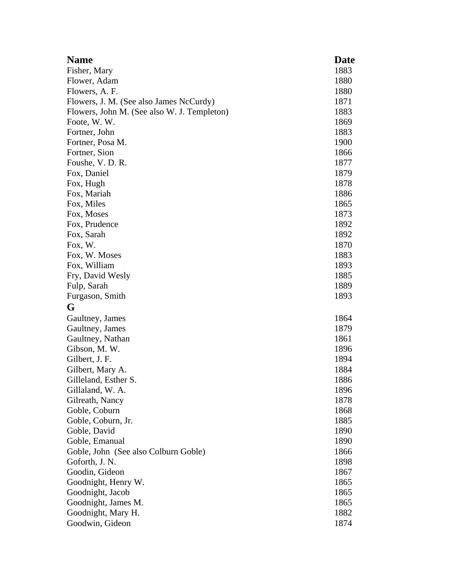| <b>Name</b>                                 | Date |
|---------------------------------------------|------|
| Fisher, Mary                                | 1883 |
| Flower, Adam                                | 1880 |
| Flowers, A. F.                              | 1880 |
| Flowers, J. M. (See also James NcCurdy)     | 1871 |
| Flowers, John M. (See also W. J. Templeton) | 1883 |
| Foote, W.W.                                 | 1869 |
| Fortner, John                               | 1883 |
| Fortner, Posa M.                            | 1900 |
| Fortner, Sion                               | 1866 |
| Foushe, V. D. R.                            | 1877 |
| Fox, Daniel                                 | 1879 |
| Fox, Hugh                                   | 1878 |
| Fox, Mariah                                 | 1886 |
| Fox, Miles                                  | 1865 |
| Fox, Moses                                  | 1873 |
| Fox, Prudence                               | 1892 |
| Fox, Sarah                                  | 1892 |
| Fox, W.                                     | 1870 |
| Fox, W. Moses                               | 1883 |
| Fox, William                                | 1893 |
| Fry, David Wesly                            | 1885 |
| Fulp, Sarah                                 | 1889 |
| Furgason, Smith                             | 1893 |
| G                                           |      |
| Gaultney, James                             | 1864 |
| Gaultney, James                             | 1879 |
| Gaultney, Nathan                            | 1861 |
| Gibson, M. W.                               | 1896 |
| Gilbert, J. F.                              | 1894 |
| Gilbert, Mary A.                            | 1884 |
| Gilleland, Esther S.                        | 1886 |
| Gillaland, W. A.                            | 1896 |
| Gilreath, Nancy                             | 1878 |
| Goble, Coburn                               | 1868 |
| Goble, Coburn, Jr.                          | 1885 |
| Goble, David                                | 1890 |
| Goble, Emanual                              | 1890 |
| Goble, John (See also Colburn Goble)        | 1866 |
| Goforth, J. N.                              | 1898 |
| Goodin, Gideon                              | 1867 |
| Goodnight, Henry W.                         | 1865 |
| Goodnight, Jacob                            | 1865 |
| Goodnight, James M.                         | 1865 |
| Goodnight, Mary H.                          | 1882 |
| Goodwin, Gideon                             | 1874 |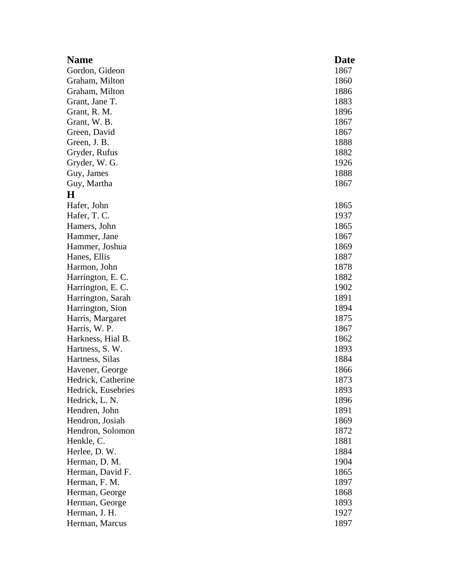| <b>Name</b>        | Date |
|--------------------|------|
| Gordon, Gideon     | 1867 |
| Graham, Milton     | 1860 |
| Graham, Milton     | 1886 |
| Grant, Jane T.     | 1883 |
| Grant, R. M.       | 1896 |
| Grant, W. B.       | 1867 |
| Green, David       | 1867 |
| Green, J. B.       | 1888 |
| Gryder, Rufus      | 1882 |
| Gryder, W. G.      | 1926 |
| Guy, James         | 1888 |
| Guy, Martha        | 1867 |
| $\bf H$            |      |
| Hafer, John        | 1865 |
| Hafer, T. C.       | 1937 |
| Hamers, John       | 1865 |
| Hammer, Jane       | 1867 |
| Hammer, Joshua     | 1869 |
| Hanes, Ellis       | 1887 |
| Harmon, John       | 1878 |
| Harrington, E.C.   | 1882 |
| Harrington, E. C.  | 1902 |
| Harrington, Sarah  | 1891 |
| Harrington, Sion   | 1894 |
| Harris, Margaret   | 1875 |
| Harris, W. P.      | 1867 |
| Harkness, Hial B.  | 1862 |
| Hartness, S. W.    | 1893 |
| Hartness, Silas    | 1884 |
| Havener, George    | 1866 |
| Hedrick, Catherine | 1873 |
| Hedrick, Eusebries | 1893 |
| Hedrick, L. N.     | 1896 |
| Hendren, John      | 1891 |
| Hendron, Josiah    | 1869 |
| Hendron, Solomon   | 1872 |
| Henkle, C.         | 1881 |
| Herlee, D. W.      | 1884 |
| Herman, D. M.      | 1904 |
| Herman, David F.   | 1865 |
| Herman, F. M.      | 1897 |
| Herman, George     | 1868 |
| Herman, George     | 1893 |
| Herman, J. H.      | 1927 |
| Herman, Marcus     | 1897 |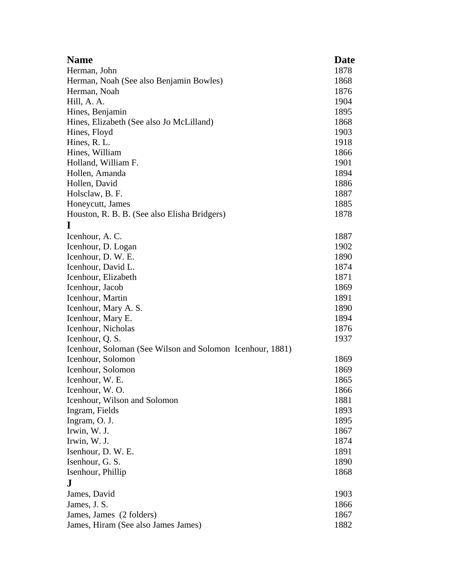| <b>Name</b>                                               | <b>Date</b> |
|-----------------------------------------------------------|-------------|
| Herman, John                                              | 1878        |
| Herman, Noah (See also Benjamin Bowles)                   | 1868        |
| Herman, Noah                                              | 1876        |
| Hill, A. A.                                               | 1904        |
| Hines, Benjamin                                           | 1895        |
| Hines, Elizabeth (See also Jo McLilland)                  | 1868        |
| Hines, Floyd                                              | 1903        |
| Hines, R. L.                                              | 1918        |
| Hines, William                                            | 1866        |
| Holland, William F.                                       | 1901        |
| Hollen, Amanda                                            | 1894        |
| Hollen, David                                             | 1886        |
| Holsclaw, B. F.                                           | 1887        |
| Honeycutt, James                                          | 1885        |
| Houston, R. B. B. (See also Elisha Bridgers)              | 1878        |
| I                                                         |             |
| Icenhour, A.C.                                            | 1887        |
| Icenhour, D. Logan                                        | 1902        |
| Icenhour, D. W. E.                                        | 1890        |
| Icenhour, David L.                                        | 1874        |
| Icenhour, Elizabeth                                       | 1871        |
| Icenhour, Jacob                                           | 1869        |
| Icenhour, Martin                                          | 1891        |
| Icenhour, Mary A. S.                                      | 1890        |
| Icenhour, Mary E.                                         | 1894        |
| Icenhour, Nicholas                                        | 1876        |
| Icenhour, Q. S.                                           | 1937        |
| Icenhour, Soloman (See Wilson and Solomon Icenhour, 1881) |             |
| Icenhour, Solomon                                         | 1869        |
| Icenhour, Solomon                                         | 1869        |
| Icenhour, W. E.                                           | 1865        |
| Icenhour, W.O.                                            | 1866        |
| Icenhour, Wilson and Solomon                              | 1881        |
| Ingram, Fields                                            | 1893        |
| Ingram, O. J.                                             | 1895        |
| Irwin, W. J.                                              | 1867        |
| Irwin, W. J.                                              | 1874        |
| Isenhour, D. W. E.                                        | 1891        |
| Isenhour, G. S.                                           | 1890        |
| Isenhour, Phillip                                         | 1868        |
| J                                                         |             |
| James, David                                              | 1903        |
| James, J. S.                                              | 1866        |
| James, James (2 folders)                                  | 1867        |
| James, Hiram (See also James James)                       | 1882        |
|                                                           |             |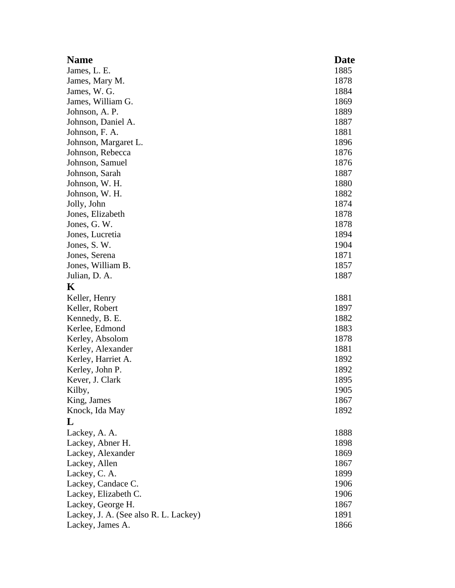| <b>Name</b>                           | Date |
|---------------------------------------|------|
| James, L. E.                          | 1885 |
| James, Mary M.                        | 1878 |
| James, W. G.                          | 1884 |
| James, William G.                     | 1869 |
| Johnson, A. P.                        | 1889 |
| Johnson, Daniel A.                    | 1887 |
| Johnson, F. A.                        | 1881 |
| Johnson, Margaret L.                  | 1896 |
| Johnson, Rebecca                      | 1876 |
| Johnson, Samuel                       | 1876 |
| Johnson, Sarah                        | 1887 |
| Johnson, W. H.                        | 1880 |
| Johnson, W. H.                        | 1882 |
| Jolly, John                           | 1874 |
| Jones, Elizabeth                      | 1878 |
| Jones, G. W.                          | 1878 |
| Jones, Lucretia                       | 1894 |
| Jones, S.W.                           | 1904 |
| Jones, Serena                         | 1871 |
| Jones, William B.                     | 1857 |
| Julian, D. A.                         | 1887 |
| K                                     |      |
| Keller, Henry                         | 1881 |
| Keller, Robert                        | 1897 |
| Kennedy, B. E.                        | 1882 |
| Kerlee, Edmond                        | 1883 |
| Kerley, Absolom                       | 1878 |
| Kerley, Alexander                     | 1881 |
| Kerley, Harriet A.                    | 1892 |
| Kerley, John P.                       | 1892 |
| Kever, J. Clark                       | 1895 |
| Kilby,                                | 1905 |
| King, James                           | 1867 |
| Knock, Ida May                        | 1892 |
| L                                     |      |
| Lackey, A. A.                         | 1888 |
| Lackey, Abner H.                      | 1898 |
| Lackey, Alexander                     | 1869 |
| Lackey, Allen                         | 1867 |
| Lackey, C. A.                         | 1899 |
| Lackey, Candace C.                    | 1906 |
| Lackey, Elizabeth C.                  | 1906 |
| Lackey, George H.                     | 1867 |
| Lackey, J. A. (See also R. L. Lackey) | 1891 |
| Lackey, James A.                      | 1866 |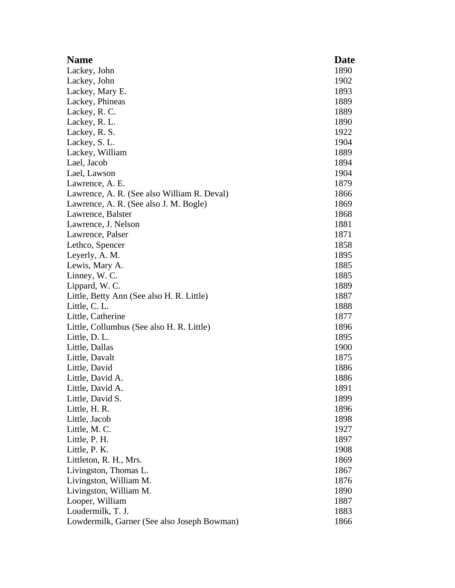| <b>Name</b>                                 | <b>Date</b> |
|---------------------------------------------|-------------|
| Lackey, John                                | 1890        |
| Lackey, John                                | 1902        |
| Lackey, Mary E.                             | 1893        |
| Lackey, Phineas                             | 1889        |
| Lackey, R. C.                               | 1889        |
| Lackey, R. L.                               | 1890        |
| Lackey, R. S.                               | 1922        |
| Lackey, S. L.                               | 1904        |
| Lackey, William                             | 1889        |
| Lael, Jacob                                 | 1894        |
| Lael, Lawson                                | 1904        |
| Lawrence, A. E.                             | 1879        |
| Lawrence, A. R. (See also William R. Deval) | 1866        |
| Lawrence, A. R. (See also J. M. Bogle)      | 1869        |
| Lawrence, Balster                           | 1868        |
| Lawrence, J. Nelson                         | 1881        |
| Lawrence, Palser                            | 1871        |
| Lethco, Spencer                             | 1858        |
| Leyerly, A. M.                              | 1895        |
| Lewis, Mary A.                              | 1885        |
| Linney, W. C.                               | 1885        |
| Lippard, W. C.                              | 1889        |
| Little, Betty Ann (See also H. R. Little)   | 1887        |
| Little, C. L.                               | 1888        |
| Little, Catherine                           | 1877        |
| Little, Collumbus (See also H. R. Little)   | 1896        |
| Little, D. L.                               | 1895        |
| Little, Dallas                              | 1900        |
| Little, Davalt                              | 1875        |
| Little, David                               | 1886        |
| Little, David A.                            | 1886        |
| Little, David A.                            | 1891        |
| Little, David S.                            | 1899        |
| Little, H. R.                               | 1896        |
| Little, Jacob                               | 1898        |
| Little, M. C.                               | 1927        |
| Little, P. H.                               | 1897        |
| Little, P. K.                               | 1908        |
| Littleton, R. H., Mrs.                      | 1869        |
| Livingston, Thomas L.                       | 1867        |
| Livingston, William M.                      | 1876        |
| Livingston, William M.                      | 1890        |
| Looper, William                             | 1887        |
| Loudermilk, T. J.                           | 1883        |
| Lowdermilk, Garner (See also Joseph Bowman) | 1866        |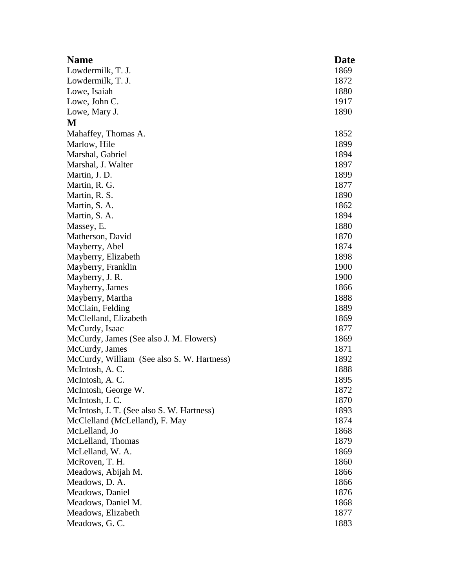| <b>Name</b>                                | Date |
|--------------------------------------------|------|
| Lowdermilk, T. J.                          | 1869 |
| Lowdermilk, T. J.                          | 1872 |
| Lowe, Isaiah                               | 1880 |
| Lowe, John C.                              | 1917 |
| Lowe, Mary J.                              | 1890 |
| M                                          |      |
| Mahaffey, Thomas A.                        | 1852 |
| Marlow, Hile                               | 1899 |
| Marshal, Gabriel                           | 1894 |
| Marshal, J. Walter                         | 1897 |
| Martin, J. D.                              | 1899 |
| Martin, R. G.                              | 1877 |
| Martin, R. S.                              | 1890 |
| Martin, S. A.                              | 1862 |
| Martin, S. A.                              | 1894 |
| Massey, E.                                 | 1880 |
| Matherson, David                           | 1870 |
| Mayberry, Abel                             | 1874 |
| Mayberry, Elizabeth                        | 1898 |
| Mayberry, Franklin                         | 1900 |
| Mayberry, J. R.                            | 1900 |
| Mayberry, James                            | 1866 |
| Mayberry, Martha                           | 1888 |
| McClain, Felding                           | 1889 |
| McClelland, Elizabeth                      | 1869 |
| McCurdy, Isaac                             | 1877 |
| McCurdy, James (See also J. M. Flowers)    | 1869 |
| McCurdy, James                             | 1871 |
| McCurdy, William (See also S. W. Hartness) | 1892 |
| McIntosh, A.C.                             | 1888 |
| McIntosh, A.C.                             | 1895 |
| McIntosh, George W.                        | 1872 |
| McIntosh, J.C.                             | 1870 |
| McIntosh, J. T. (See also S. W. Hartness)  | 1893 |
| McClelland (McLelland), F. May             | 1874 |
| McLelland, Jo                              | 1868 |
| McLelland, Thomas                          | 1879 |
| McLelland, W. A.                           | 1869 |
| McRoven, T. H.                             | 1860 |
| Meadows, Abijah M.                         | 1866 |
| Meadows, D. A.                             | 1866 |
| Meadows, Daniel                            | 1876 |
| Meadows, Daniel M.                         | 1868 |
| Meadows, Elizabeth                         | 1877 |
| Meadows, G.C.                              | 1883 |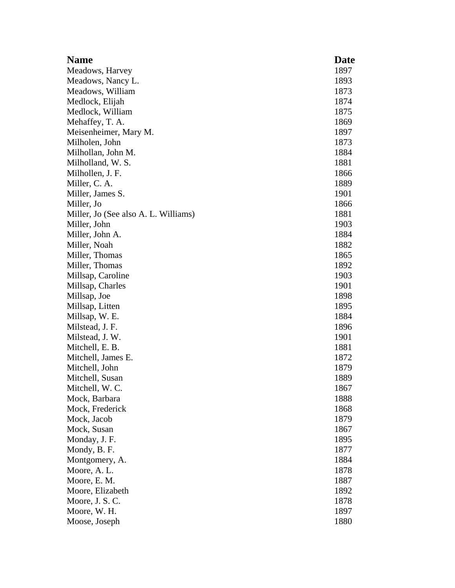| <b>Name</b>                          | <b>Date</b> |
|--------------------------------------|-------------|
| Meadows, Harvey                      | 1897        |
| Meadows, Nancy L.                    | 1893        |
| Meadows, William                     | 1873        |
| Medlock, Elijah                      | 1874        |
| Medlock, William                     | 1875        |
| Mehaffey, T. A.                      | 1869        |
| Meisenheimer, Mary M.                | 1897        |
| Milholen, John                       | 1873        |
| Milhollan, John M.                   | 1884        |
| Milholland, W. S.                    | 1881        |
| Milhollen, J. F.                     | 1866        |
| Miller, C. A.                        | 1889        |
| Miller, James S.                     | 1901        |
| Miller, Jo                           | 1866        |
| Miller, Jo (See also A. L. Williams) | 1881        |
| Miller, John                         | 1903        |
| Miller, John A.                      | 1884        |
| Miller, Noah                         | 1882        |
| Miller, Thomas                       | 1865        |
| Miller, Thomas                       | 1892        |
| Millsap, Caroline                    | 1903        |
| Millsap, Charles                     | 1901        |
| Millsap, Joe                         | 1898        |
| Millsap, Litten                      | 1895        |
| Millsap, W. E.                       | 1884        |
| Milstead, J. F.                      | 1896        |
| Milstead, J. W.                      | 1901        |
| Mitchell, E. B.                      | 1881        |
| Mitchell, James E.                   | 1872        |
| Mitchell, John                       | 1879        |
| Mitchell, Susan                      | 1889        |
| Mitchell, W. C.                      | 1867        |
| Mock, Barbara                        | 1888        |
| Mock, Frederick                      | 1868        |
| Mock, Jacob                          | 1879        |
| Mock, Susan                          | 1867        |
| Monday, J. F.                        | 1895        |
| Mondy, B. F.                         | 1877        |
| Montgomery, A.                       | 1884        |
| Moore, A.L.                          | 1878        |
| Moore, E. M.                         | 1887        |
| Moore, Elizabeth                     | 1892        |
| Moore, J. S. C.                      | 1878        |
| Moore, W. H.                         | 1897        |
| Moose, Joseph                        | 1880        |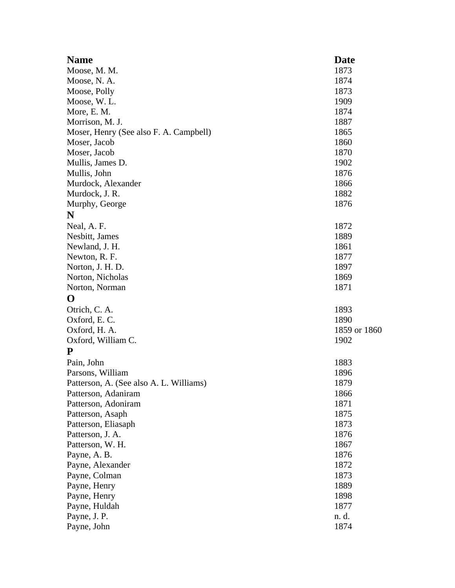| <b>Name</b>                             | Date         |
|-----------------------------------------|--------------|
| Moose, M. M.                            | 1873         |
| Moose, N.A.                             | 1874         |
| Moose, Polly                            | 1873         |
| Moose, W.L.                             | 1909         |
| More, E. M.                             | 1874         |
| Morrison, M. J.                         | 1887         |
| Moser, Henry (See also F. A. Campbell)  | 1865         |
| Moser, Jacob                            | 1860         |
| Moser, Jacob                            | 1870         |
| Mullis, James D.                        | 1902         |
| Mullis, John                            | 1876         |
| Murdock, Alexander                      | 1866         |
| Murdock, J. R.                          | 1882         |
| Murphy, George                          | 1876         |
| N                                       |              |
| Neal, A. F.                             | 1872         |
| Nesbitt, James                          | 1889         |
| Newland, J. H.                          | 1861         |
| Newton, R. F.                           | 1877         |
| Norton, J. H. D.                        | 1897         |
| Norton, Nicholas                        | 1869         |
| Norton, Norman                          | 1871         |
| O                                       |              |
| Otrich, C. A.                           | 1893         |
| Oxford, E.C.                            | 1890         |
| Oxford, H. A.                           | 1859 or 1860 |
| Oxford, William C.                      | 1902         |
| ${\bf P}$                               |              |
| Pain, John                              | 1883         |
| Parsons, William                        | 1896         |
| Patterson, A. (See also A. L. Williams) | 1879         |
| Patterson, Adaniram                     | 1866         |
| Patterson, Adoniram                     | 1871         |
| Patterson, Asaph                        | 1875         |
| Patterson, Eliasaph                     | 1873         |
| Patterson, J. A.                        | 1876         |
| Patterson, W. H.                        | 1867         |
| Payne, A. B.                            | 1876         |
| Payne, Alexander                        | 1872         |
| Payne, Colman                           | 1873         |
| Payne, Henry                            | 1889         |
| Payne, Henry                            | 1898         |
| Payne, Huldah                           | 1877         |
| Payne, J. P.                            | n. d.        |
| Payne, John                             | 1874         |
|                                         |              |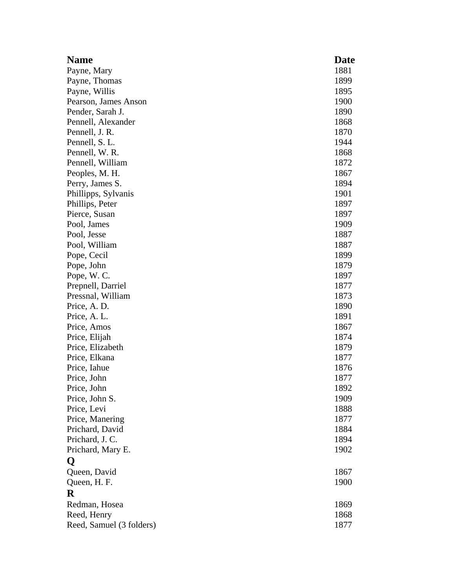| <b>Name</b>              | <b>Date</b> |
|--------------------------|-------------|
| Payne, Mary              | 1881        |
| Payne, Thomas            | 1899        |
| Payne, Willis            | 1895        |
| Pearson, James Anson     | 1900        |
| Pender, Sarah J.         | 1890        |
| Pennell, Alexander       | 1868        |
| Pennell, J. R.           | 1870        |
| Pennell, S. L.           | 1944        |
| Pennell, W. R.           | 1868        |
| Pennell, William         | 1872        |
| Peoples, M. H.           | 1867        |
| Perry, James S.          | 1894        |
| Phillipps, Sylvanis      | 1901        |
| Phillips, Peter          | 1897        |
| Pierce, Susan            | 1897        |
| Pool, James              | 1909        |
| Pool, Jesse              | 1887        |
| Pool, William            | 1887        |
| Pope, Cecil              | 1899        |
| Pope, John               | 1879        |
| Pope, W.C.               | 1897        |
| Prepnell, Darriel        | 1877        |
| Pressnal, William        | 1873        |
| Price, A. D.             | 1890        |
| Price, A.L.              | 1891        |
| Price, Amos              | 1867        |
| Price, Elijah            | 1874        |
| Price, Elizabeth         | 1879        |
| Price, Elkana            | 1877        |
| Price, Iahue             | 1876        |
| Price, John              | 1877        |
| Price, John              | 1892        |
| Price, John S.           | 1909        |
| Price, Levi              | 1888        |
| Price, Manering          | 1877        |
| Prichard, David          | 1884        |
| Prichard, J. C.          | 1894        |
| Prichard, Mary E.        | 1902        |
| Q                        |             |
| Queen, David             | 1867        |
| Queen, H. F.             | 1900        |
| $\bf R$                  |             |
| Redman, Hosea            | 1869        |
| Reed, Henry              | 1868        |
| Reed, Samuel (3 folders) | 1877        |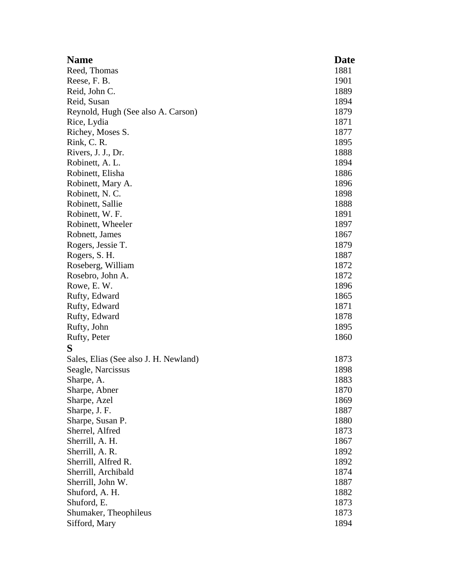| <b>Name</b>                           | <b>Date</b> |
|---------------------------------------|-------------|
| Reed, Thomas                          | 1881        |
| Reese, F. B.                          | 1901        |
| Reid, John C.                         | 1889        |
| Reid, Susan                           | 1894        |
| Reynold, Hugh (See also A. Carson)    | 1879        |
| Rice, Lydia                           | 1871        |
| Richey, Moses S.                      | 1877        |
| Rink, C. R.                           | 1895        |
| Rivers, J. J., Dr.                    | 1888        |
| Robinett, A. L.                       | 1894        |
| Robinett, Elisha                      | 1886        |
| Robinett, Mary A.                     | 1896        |
| Robinett, N.C.                        | 1898        |
| Robinett, Sallie                      | 1888        |
| Robinett, W. F.                       | 1891        |
| Robinett, Wheeler                     | 1897        |
| Robnett, James                        | 1867        |
| Rogers, Jessie T.                     | 1879        |
| Rogers, S. H.                         | 1887        |
| Roseberg, William                     | 1872        |
| Rosebro, John A.                      | 1872        |
| Rowe, E.W.                            | 1896        |
| Rufty, Edward                         | 1865        |
| Rufty, Edward                         | 1871        |
| Rufty, Edward                         | 1878        |
| Rufty, John                           | 1895        |
| Rufty, Peter                          | 1860        |
| S                                     |             |
| Sales, Elias (See also J. H. Newland) | 1873        |
| Seagle, Narcissus                     | 1898        |
| Sharpe, A.                            | 1883        |
| Sharpe, Abner                         | 1870        |
| Sharpe, Azel                          | 1869        |
| Sharpe, J. F.                         | 1887        |
| Sharpe, Susan P.                      | 1880        |
| Sherrel, Alfred                       | 1873        |
| Sherrill, A. H.                       | 1867        |
| Sherrill, A. R.                       | 1892        |
| Sherrill, Alfred R.                   | 1892        |
| Sherrill, Archibald                   | 1874        |
| Sherrill, John W.                     | 1887        |
| Shuford, A. H.                        | 1882        |
| Shuford, E.                           | 1873        |
| Shumaker, Theophileus                 | 1873        |
| Sifford, Mary                         | 1894        |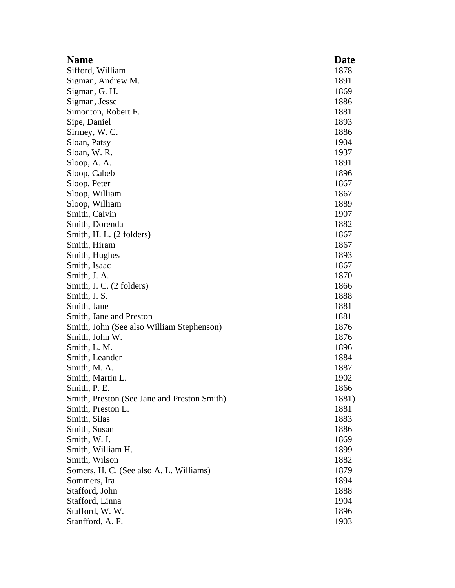| <b>Name</b>                                 | Date  |
|---------------------------------------------|-------|
| Sifford, William                            | 1878  |
| Sigman, Andrew M.                           | 1891  |
| Sigman, G. H.                               | 1869  |
| Sigman, Jesse                               | 1886  |
| Simonton, Robert F.                         | 1881  |
| Sipe, Daniel                                | 1893  |
| Sirmey, W. C.                               | 1886  |
| Sloan, Patsy                                | 1904  |
| Sloan, W.R.                                 | 1937  |
| Sloop, A. A.                                | 1891  |
| Sloop, Cabeb                                | 1896  |
| Sloop, Peter                                | 1867  |
| Sloop, William                              | 1867  |
| Sloop, William                              | 1889  |
| Smith, Calvin                               | 1907  |
| Smith, Dorenda                              | 1882  |
| Smith, H. L. (2 folders)                    | 1867  |
| Smith, Hiram                                | 1867  |
| Smith, Hughes                               | 1893  |
| Smith, Isaac                                | 1867  |
| Smith, J. A.                                | 1870  |
| Smith, J. C. (2 folders)                    | 1866  |
| Smith, J. S.                                | 1888  |
| Smith, Jane                                 | 1881  |
| Smith, Jane and Preston                     | 1881  |
| Smith, John (See also William Stephenson)   | 1876  |
| Smith, John W.                              | 1876  |
| Smith, L. M.                                | 1896  |
| Smith, Leander                              | 1884  |
| Smith, M. A.                                | 1887  |
| Smith, Martin L.                            | 1902  |
| Smith, P. E.                                | 1866  |
| Smith, Preston (See Jane and Preston Smith) | 1881) |
| Smith, Preston L.                           | 1881  |
| Smith, Silas                                | 1883  |
| Smith, Susan                                | 1886  |
| Smith, W. I.                                | 1869  |
| Smith, William H.                           | 1899  |
| Smith, Wilson                               | 1882  |
| Somers, H. C. (See also A. L. Williams)     | 1879  |
| Sommers, Ira                                | 1894  |
| Stafford, John                              | 1888  |
| Stafford, Linna                             | 1904  |
| Stafford, W.W.                              | 1896  |
| Stanfford, A. F.                            | 1903  |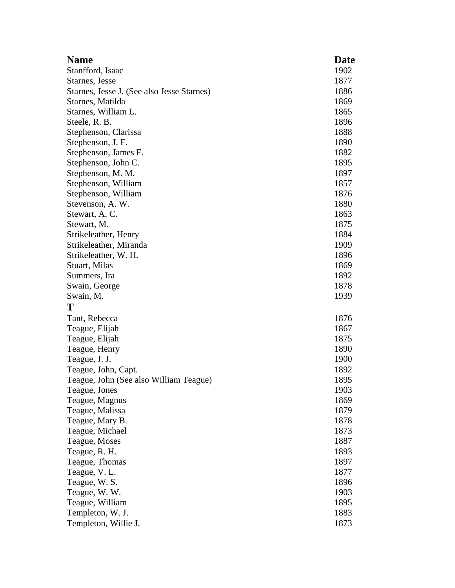| <b>Name</b>                                | <b>Date</b> |
|--------------------------------------------|-------------|
| Stanfford, Isaac                           | 1902        |
| Starnes, Jesse                             | 1877        |
| Starnes, Jesse J. (See also Jesse Starnes) | 1886        |
| Starnes, Matilda                           | 1869        |
| Starnes, William L.                        | 1865        |
| Steele, R. B.                              | 1896        |
| Stephenson, Clarissa                       | 1888        |
| Stephenson, J. F.                          | 1890        |
| Stephenson, James F.                       | 1882        |
| Stephenson, John C.                        | 1895        |
| Stephenson, M. M.                          | 1897        |
| Stephenson, William                        | 1857        |
| Stephenson, William                        | 1876        |
| Stevenson, A. W.                           | 1880        |
| Stewart, A.C.                              | 1863        |
| Stewart, M.                                | 1875        |
| Strikeleather, Henry                       | 1884        |
| Strikeleather, Miranda                     | 1909        |
| Strikeleather, W. H.                       | 1896        |
| Stuart, Milas                              | 1869        |
| Summers, Ira                               | 1892        |
| Swain, George                              | 1878        |
| Swain, M.                                  | 1939        |
| Т                                          |             |
| Tant, Rebecca                              | 1876        |
| Teague, Elijah                             | 1867        |
| Teague, Elijah                             | 1875        |
| Teague, Henry                              | 1890        |
| Teague, J. J.                              | 1900        |
| Teague, John, Capt.                        | 1892        |
| Teague, John (See also William Teague)     | 1895        |
| Teague, Jones                              | 1903        |
| Teague, Magnus                             | 1869        |
| Teague, Malissa                            | 1879        |
| Teague, Mary B.                            | 1878        |
| Teague, Michael                            | 1873        |
| Teague, Moses                              | 1887        |
| Teague, R. H.                              | 1893        |
| Teague, Thomas                             | 1897        |
| Teague, V. L.                              | 1877        |
| Teague, W. S.                              | 1896        |
| Teague, W. W.                              | 1903        |
| Teague, William                            | 1895        |
| Templeton, W. J.                           | 1883        |
| Templeton, Willie J.                       | 1873        |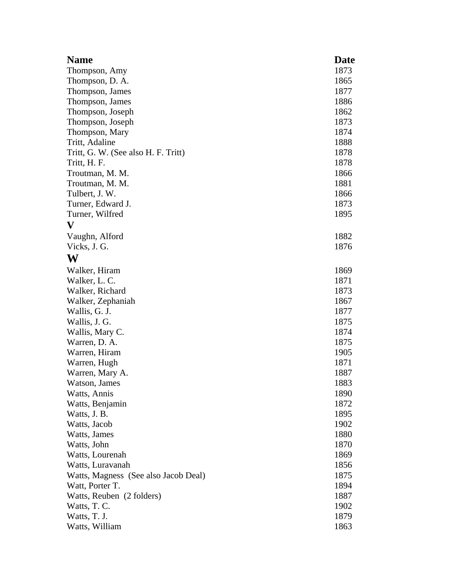| <b>Name</b>                          | Date |
|--------------------------------------|------|
| Thompson, Amy                        | 1873 |
| Thompson, D. A.                      | 1865 |
| Thompson, James                      | 1877 |
| Thompson, James                      | 1886 |
| Thompson, Joseph                     | 1862 |
| Thompson, Joseph                     | 1873 |
| Thompson, Mary                       | 1874 |
| Tritt, Adaline                       | 1888 |
| Tritt, G. W. (See also H. F. Tritt)  | 1878 |
| Tritt, H. F.                         | 1878 |
| Troutman, M. M.                      | 1866 |
| Troutman, M. M.                      | 1881 |
| Tulbert, J. W.                       | 1866 |
| Turner, Edward J.                    | 1873 |
| Turner, Wilfred                      | 1895 |
| $\mathbf{V}$                         |      |
| Vaughn, Alford                       | 1882 |
| Vicks, J. G.                         | 1876 |
| W                                    |      |
| Walker, Hiram                        | 1869 |
| Walker, L. C.                        | 1871 |
| Walker, Richard                      | 1873 |
| Walker, Zephaniah                    | 1867 |
| Wallis, G. J.                        | 1877 |
| Wallis, J. G.                        | 1875 |
| Wallis, Mary C.                      | 1874 |
| Warren, D. A.                        | 1875 |
| Warren, Hiram                        | 1905 |
| Warren, Hugh                         | 1871 |
| Warren, Mary A.                      | 1887 |
| Watson, James                        | 1883 |
| Watts, Annis                         | 1890 |
| Watts, Benjamin                      | 1872 |
| Watts, J. B.                         | 1895 |
| Watts, Jacob                         | 1902 |
| Watts, James                         | 1880 |
| Watts, John                          | 1870 |
| Watts, Lourenah                      | 1869 |
| Watts, Luravanah                     | 1856 |
| Watts, Magness (See also Jacob Deal) | 1875 |
| Watt, Porter T.                      | 1894 |
| Watts, Reuben (2 folders)            | 1887 |
| Watts, T. C.                         | 1902 |
| Watts, T. J.                         | 1879 |
| Watts, William                       | 1863 |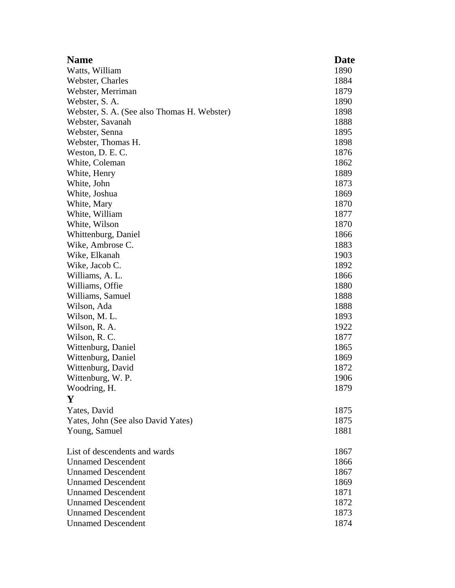| <b>Name</b>                                 | Date |
|---------------------------------------------|------|
| Watts, William                              | 1890 |
| Webster, Charles                            | 1884 |
| Webster, Merriman                           | 1879 |
| Webster, S. A.                              | 1890 |
| Webster, S. A. (See also Thomas H. Webster) | 1898 |
| Webster, Savanah                            | 1888 |
| Webster, Senna                              | 1895 |
| Webster, Thomas H.                          | 1898 |
| Weston, D. E. C.                            | 1876 |
| White, Coleman                              | 1862 |
| White, Henry                                | 1889 |
| White, John                                 | 1873 |
| White, Joshua                               | 1869 |
| White, Mary                                 | 1870 |
| White, William                              | 1877 |
| White, Wilson                               | 1870 |
| Whittenburg, Daniel                         | 1866 |
| Wike, Ambrose C.                            | 1883 |
| Wike, Elkanah                               | 1903 |
| Wike, Jacob C.                              | 1892 |
| Williams, A. L.                             | 1866 |
| Williams, Offie                             | 1880 |
| Williams, Samuel                            | 1888 |
| Wilson, Ada                                 | 1888 |
| Wilson, M. L.                               | 1893 |
| Wilson, R. A.                               | 1922 |
| Wilson, R.C.                                | 1877 |
| Wittenburg, Daniel                          | 1865 |
| Wittenburg, Daniel                          | 1869 |
| Wittenburg, David                           | 1872 |
| Wittenburg, W. P.                           | 1906 |
| Woodring, H.                                | 1879 |
| Y                                           |      |
| Yates, David                                | 1875 |
| Yates, John (See also David Yates)          | 1875 |
| Young, Samuel                               | 1881 |
|                                             |      |
| List of descendents and wards               | 1867 |
| <b>Unnamed Descendent</b>                   | 1866 |
| <b>Unnamed Descendent</b>                   | 1867 |
| <b>Unnamed Descendent</b>                   | 1869 |
| <b>Unnamed Descendent</b>                   | 1871 |
| <b>Unnamed Descendent</b>                   | 1872 |
| <b>Unnamed Descendent</b>                   | 1873 |
| <b>Unnamed Descendent</b>                   | 1874 |